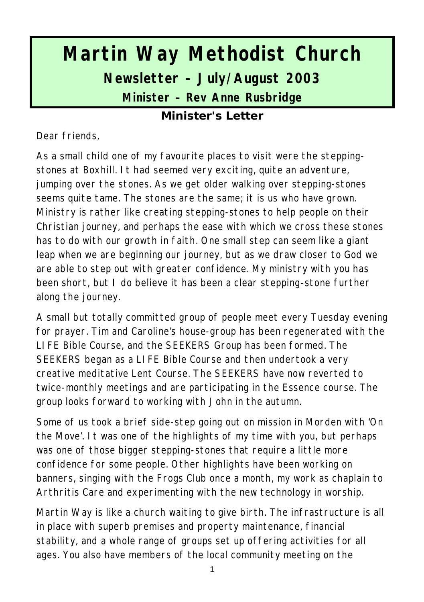# **Martin Way Methodist Church Newsletter – July/August 2003 Minister – Rev Anne Rusbridge**

#### **Minister's Letter**

Dear friends,

As a small child one of my favourite places to visit were the steppingstones at Boxhill. It had seemed very exciting, quite an adventure, jumping over the stones. As we get older walking over stepping-stones seems quite tame. The stones are the same; it is us who have grown. Ministry is rather like creating stepping-stones to help people on their Christian journey, and perhaps the ease with which we cross these stones has to do with our growth in faith. One small step can seem like a giant leap when we are beginning our journey, but as we draw closer to God we are able to step out with greater confidence. My ministry with you has been short, but I do believe it has been a clear stepping-stone further along the journey.

A small but totally committed group of people meet every Tuesday evening for prayer. Tim and Caroline's house-group has been regenerated with the LIFE Bible Course, and the SEEKERS Group has been formed. The SEEKERS began as a LIFE Bible Course and then undertook a very creative meditative Lent Course. The SEEKERS have now reverted to twice-monthly meetings and are participating in the Essence course. The group looks forward to working with John in the autumn.

Some of us took a brief side-step going out on mission in Morden with 'On the Move'. It was one of the highlights of my time with you, but perhaps was one of those bigger stepping-stones that require a little more confidence for some people. Other highlights have been working on banners, singing with the Frogs Club once a month, my work as chaplain to Arthritis Care and experimenting with the new technology in worship.

Martin Way is like a church waiting to give birth. The infrastructure is all in place with superb premises and property maintenance, financial stability, and a whole range of groups set up offering activities for all ages. You also have members of the local community meeting on the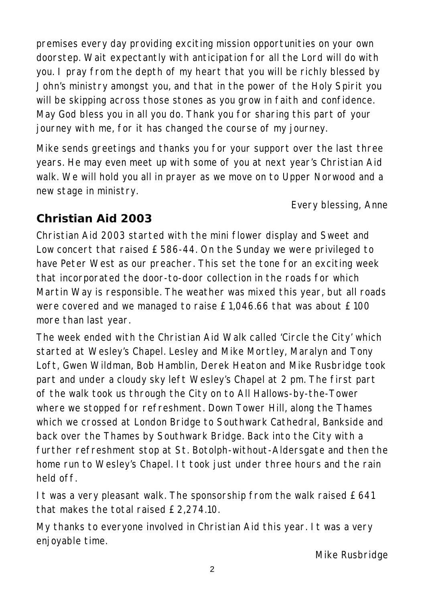premises every day providing exciting mission opportunities on your own doorstep. Wait expectantly with anticipation for all the Lord will do with you. I pray from the depth of my heart that you will be richly blessed by John's ministry amongst you, and that in the power of the Holy Spirit you will be skipping across those stones as you grow in faith and confidence. May God bless you in all you do. Thank you for sharing this part of your journey with me, for it has changed the course of my journey.

Mike sends greetings and thanks you for your support over the last three years. He may even meet up with some of you at next year's Christian Aid walk. We will hold you all in prayer as we move on to Upper Norwood and a new stage in ministry.

Every blessing, Anne

## **Christian Aid 2003**

Christian Aid 2003 started with the mini flower display and Sweet and Low concert that raised £586-44. On the Sunday we were privileged to have Peter West as our preacher. This set the tone for an exciting week that incorporated the door-to-door collection in the roads for which Martin Way is responsible. The weather was mixed this year, but all roads were covered and we managed to raise £1,046.66 that was about £100 more than last year.

The week ended with the Christian Aid Walk called 'Circle the City' which started at Wesley's Chapel. Lesley and Mike Mortley, Maralyn and Tony Loft, Gwen Wildman, Bob Hamblin, Derek Heaton and Mike Rusbridge took part and under a cloudy sky left Wesley's Chapel at 2 pm. The first part of the walk took us through the City on to All Hallows-by-the-Tower where we stopped for refreshment. Down Tower Hill, along the Thames which we crossed at London Bridge to Southwark Cathedral, Bankside and back over the Thames by Southwark Bridge. Back into the City with a further refreshment stop at St. Botolph-without-Aldersgate and then the home run to Wesley's Chapel. It took just under three hours and the rain held off.

It was a very pleasant walk. The sponsorship from the walk raised £641 that makes the total raised £2,274.10.

My thanks to everyone involved in Christian Aid this year. It was a very enjoyable time.

*Mike Rusbridge*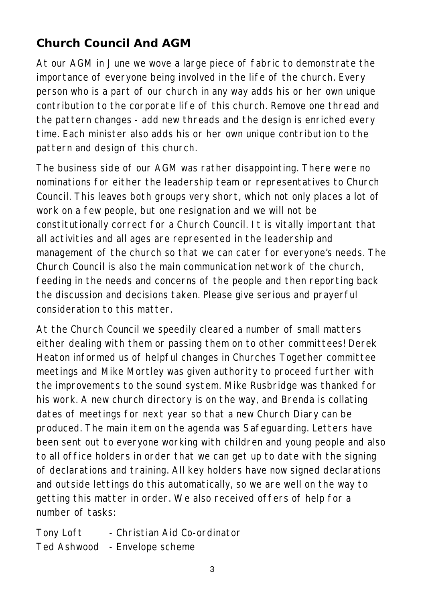## **Church Council And AGM**

At our AGM in June we wove a large piece of fabric to demonstrate the importance of everyone being involved in the life of the church. Every person who is a part of our church in any way adds his or her own unique contribution to the corporate life of this church. Remove one thread and the pattern changes - add new threads and the design is enriched every time. Each minister also adds his or her own unique contribution to the pattern and design of this church.

The business side of our AGM was rather disappointing. There were no nominations for either the leadership team or representatives to Church Council. This leaves both groups very short, which not only places a lot of work on a few people, but one resignation and we will not be constitutionally correct for a Church Council. It is vitally important that all activities and all ages are represented in the leadership and management of the church so that we can cater for everyone's needs. The Church Council is also the main communication network of the church, feeding in the needs and concerns of the people and then reporting back the discussion and decisions taken. Please give serious and prayerful consideration to this matter.

At the Church Council we speedily cleared a number of small matters either dealing with them or passing them on to other committees! Derek Heaton informed us of helpful changes in Churches Together committee meetings and Mike Mortley was given authority to proceed further with the improvements to the sound system. Mike Rusbridge was thanked for his work. A new church directory is on the way, and Brenda is collating dates of meetings for next year so that a new Church Diary can be produced. The main item on the agenda was Safeguarding. Letters have been sent out to everyone working with children and young people and also to all office holders in order that we can get up to date with the signing of declarations and training. All key holders have now signed declarations and outside lettings do this automatically, so we are well on the way to getting this matter in order. We also received offers of help for a number of tasks:

Tony Loft - Christian Aid Co-ordinator Ted Ashwood - Envelope scheme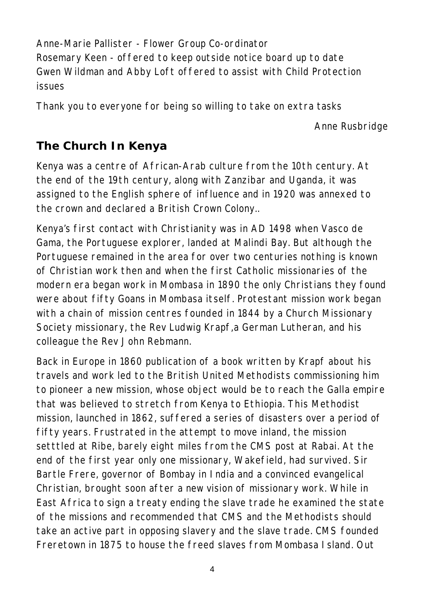Anne-Marie Pallister - Flower Group Co-ordinator Rosemary Keen - offered to keep outside notice board up to date Gwen Wildman and Abby Loft offered to assist with Child Protection issues

Thank you to everyone for being so willing to take on extra tasks

*Anne Rusbridge*

## **The Church In Kenya**

Kenya was a centre of African-Arab culture from the 10th century. At the end of the 19th century, along with Zanzibar and Uganda, it was assigned to the English sphere of influence and in 1920 was annexed to the crown and declared a British Crown Colony..

Kenya's first contact with Christianity was in AD 1498 when Vasco de Gama, the Portuguese explorer, landed at Malindi Bay. But although the Portuguese remained in the area for over two centuries nothing is known of Christian work then and when the first Catholic missionaries of the modern era began work in Mombasa in 1890 the only Christians they found were about fifty Goans in Mombasa itself. Protestant mission work began with a chain of mission centres founded in 1844 by a Church Missionary Society missionary, the Rev Ludwig Krapf,a German Lutheran, and his colleague the Rev John Rebmann.

Back in Europe in 1860 publication of a book written by Krapf about his travels and work led to the British United Methodists commissioning him to pioneer a new mission, whose object would be to reach the Galla empire that was believed to stretch from Kenya to Ethiopia. This Methodist mission, launched in 1862, suffered a series of disasters over a period of fifty years. Frustrated in the attempt to move inland, the mission setttled at Ribe, barely eight miles from the CMS post at Rabai. At the end of the first year only one missionary, Wakefield, had survived. Sir Bartle Frere, governor of Bombay in India and a convinced evangelical Christian, brought soon after a new vision of missionary work. While in East Africa to sign a treaty ending the slave trade he examined the state of the missions and recommended that CMS and the Methodists should take an active part in opposing slavery and the slave trade. CMS founded Freretown in 1875 to house the freed slaves from Mombasa Island. Out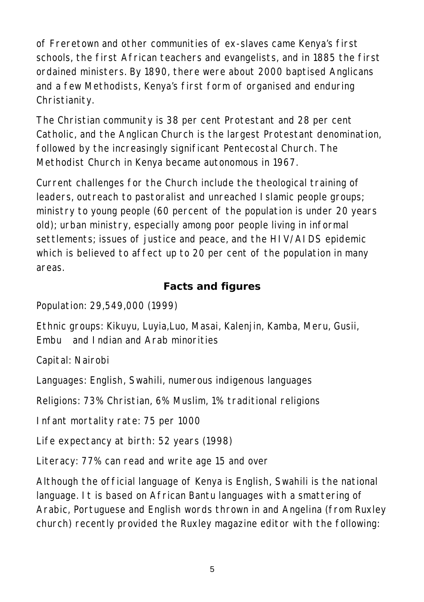of Freretown and other communities of ex-slaves came Kenya's first schools, the first African teachers and evangelists, and in 1885 the first ordained ministers. By 1890, there were about 2000 baptised Anglicans and a few Methodists, Kenya's first form of organised and enduring Christianity.

The Christian community is 38 per cent Protestant and 28 per cent Catholic, and the Anglican Church is the largest Protestant denomination, followed by the increasingly significant Pentecostal Church. The Methodist Church in Kenya became autonomous in 1967.

Current challenges for the Church include the theological training of leaders, outreach to pastoralist and unreached Islamic people groups; ministry to young people (60 percent of the population is under 20 years old); urban ministry, especially among poor people living in informal settlements; issues of justice and peace, and the HIV/AIDS epidemic which is believed to affect up to 20 per cent of the population in many areas.

#### **Facts and figures**

Population: 29,549,000 (1999)

Ethnic groups: Kikuyu, Luyia,Luo, Masai, Kalenjin, Kamba, Meru, Gusii, Embu and Indian and Arab minorities

Capital: Nairobi

Languages: English, Swahili, numerous indigenous languages

Religions: 73% Christian, 6% Muslim, 1% traditional religions

Infant mortality rate: 75 per 1000

Life expectancy at birth: 52 years (1998)

Literacy: 77% can read and write age 15 and over

Although the official language of Kenya is English, Swahili is the national language. It is based on African Bantu languages with a smattering of Arabic, Portuguese and English words thrown in and Angelina (from Ruxley church) recently provided the Ruxley magazine editor with the following: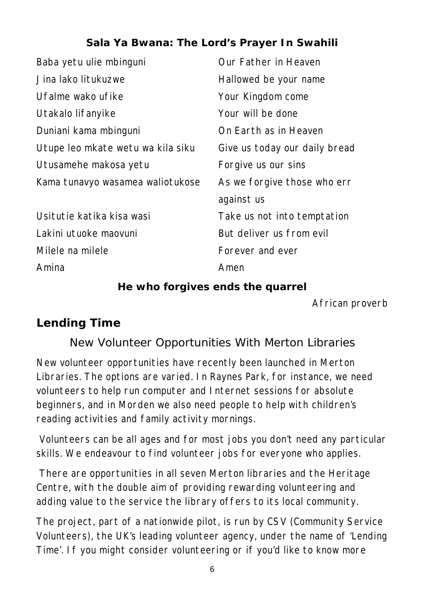#### **Sala Ya Bwana: The Lord's Prayer In Swahili**

| Baba yetu ulie mbinguni           | Our Father in Heaven          |
|-----------------------------------|-------------------------------|
| Jina lako litukuzwe               | Hallowed be your name         |
| Ufalme wako ufike                 | Your Kingdom come             |
| Utakalo lifanyike                 | Your will be done             |
| Duniani kama mbinguni             | On Earth as in Heaven         |
| Utupe leo mkate wetu wa kila siku | Give us today our daily bread |
| Utusamehe makosa yetu             | Forgive us our sins           |
| Kama tunavyo wasamea waliotukose  | As we forgive those who err   |
|                                   | against us                    |
| Usitutie katika kisa wasi         | Take us not into temptation   |
| Lakini utuoke maovuni             | But deliver us from evil      |
| Milele na milele                  | Forever and ever              |
| Amina                             | Amen                          |

#### **He who forgives ends the quarrel**

*African proverb*

#### **Lending Time**

#### New Volunteer Opportunities With Merton Libraries

New volunteer opportunities have recently been launched in Merton Libraries. The options are varied. In Raynes Park, for instance, we need volunteers to help run computer and Internet sessions for absolute beginners, and in Morden we also need people to help with children's reading activities and family activity mornings.

 Volunteers can be all ages and for most jobs you don't need any particular skills. We endeavour to find volunteer jobs for everyone who applies.

 There are opportunities in all seven Merton libraries and the Heritage Centre, with the double aim of providing rewarding volunteering and adding value to the service the library offers to its local community.

The project, part of a nationwide pilot, is run by CSV (Community Service Volunteers), the UK's leading volunteer agency, under the name of 'Lending Time'. If you might consider volunteering or if you'd like to know more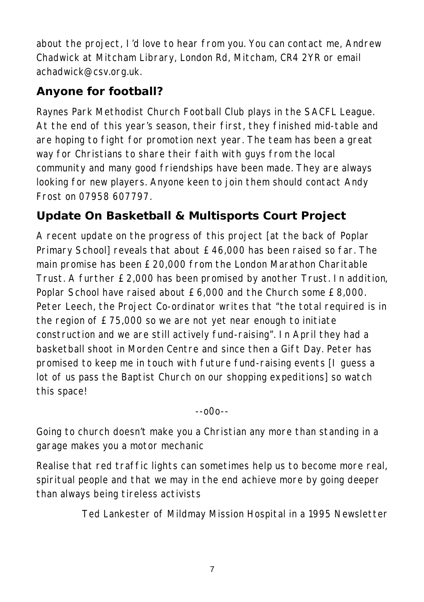about the project, I'd love to hear from you. You can contact me, Andrew Chadwick at Mitcham Library, London Rd, Mitcham, CR4 2YR or email achadwick@csv.org.uk.

# **Anyone for football?**

Raynes Park Methodist Church Football Club plays in the SACFL League. At the end of this year's season, their first, they finished mid-table and are hoping to fight for promotion next year. The team has been a great way for Christians to share their faith with guys from the local community and many good friendships have been made. They are always looking for new players. Anyone keen to join them should contact Andy Frost on 07958 607797.

# **Update On Basketball & Multisports Court Project**

A recent update on the progress of this project [at the back of Poplar Primary School] reveals that about £46,000 has been raised so far. The main promise has been £20,000 from the London Marathon Charitable Trust. A further £2,000 has been promised by another Trust. In addition, Poplar School have raised about £6,000 and the Church some £8,000. Peter Leech, the Project Co-ordinator writes that "the total required is in the region of £75,000 so we are not yet near enough to initiate construction and we are still actively fund-raising". In April they had a basketball shoot in Morden Centre and since then a Gift Day. Peter has promised to keep me in touch with future fund-raising events [I guess a lot of us pass the Baptist Church on our shopping expeditions] so watch this space!

--o0o--

Going to church doesn't make you a Christian any more than standing in a garage makes you a motor mechanic

Realise that red traffic lights can sometimes help us to become more real, spiritual people and that we may in the end achieve more by going deeper than always being tireless activists

*Ted Lankester of Mildmay Mission Hospital in a 1995 Newsletter*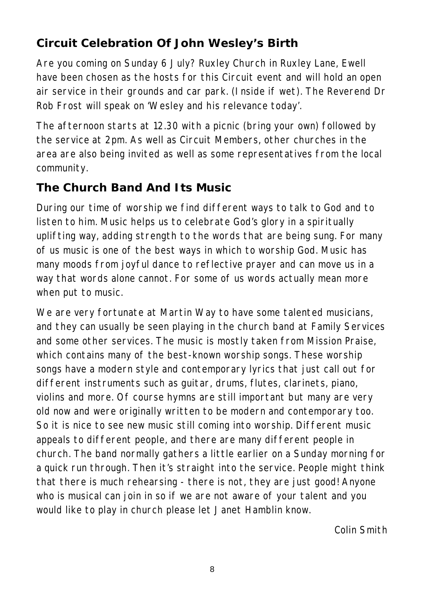## **Circuit Celebration Of John Wesley's Birth**

Are you coming on Sunday 6 July? Ruxley Church in Ruxley Lane, Ewell have been chosen as the hosts for this Circuit event and will hold an open air service in their grounds and car park. (Inside if wet). The Reverend Dr Rob Frost will speak on 'Wesley and his relevance today'.

The afternoon starts at 12.30 with a picnic (bring your own) followed by the service at 2pm. As well as Circuit Members, other churches in the area are also being invited as well as some representatives from the local community.

## **The Church Band And Its Music**

During our time of worship we find different ways to talk to God and to listen to him. Music helps us to celebrate God's glory in a spiritually uplifting way, adding strength to the words that are being sung. For many of us music is one of the best ways in which to worship God. Music has many moods from joyful dance to reflective prayer and can move us in a way that words alone cannot. For some of us words actually mean more when put to music.

We are very fortunate at Martin Way to have some talented musicians, and they can usually be seen playing in the church band at Family Services and some other services. The music is mostly taken from Mission Praise, which contains many of the best-known worship songs. These worship songs have a modern style and contemporary lyrics that just call out for different instruments such as guitar, drums, flutes, clarinets, piano, violins and more. Of course hymns are still important but many are very old now and were originally written to be modern and contemporary too. So it is nice to see new music still coming into worship. Different music appeals to different people, and there are many different people in church. The band normally gathers a little earlier on a Sunday morning for a quick run through. Then it's straight into the service. People might think that there is much rehearsing - there is not, they are just good! Anyone who is musical can join in so if we are not aware of your talent and you would like to play in church please let Janet Hamblin know.

*Colin Smith*